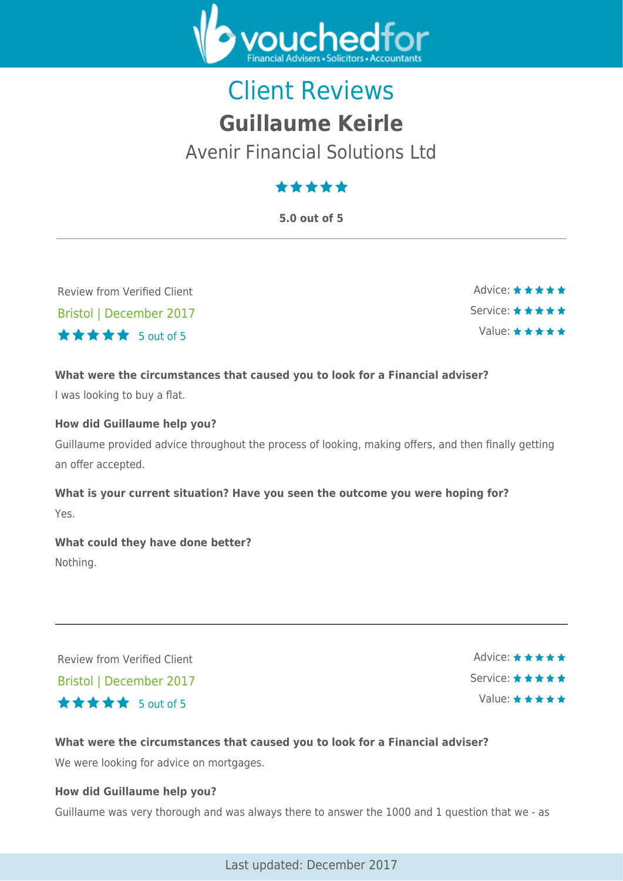

# Client Reviews **Guillaume Keirle**

Avenir Financial Solutions Ltd

# \*\*\*\*\*

**5.0 out of 5**

Review from Verified Client Bristol | December 2017  $\star \star \star \star$  5 out of 5

Advice: ★★★★★ Service: \* \* \* \* \* Value:  $\star \star \star \star \star$ 

#### **What were the circumstances that caused you to look for a Financial adviser?**

I was looking to buy a flat.

#### **How did Guillaume help you?**

Guillaume provided advice throughout the process of looking, making offers, and then finally getting an offer accepted.

# **What is your current situation? Have you seen the outcome you were hoping for?** Yes.

**What could they have done better?** Nothing.

Review from Verified Client Bristol | December 2017 5 out of 5

Advice: ★★★★★ Service: ★★★★★ Value:  $\star \star \star \star \star$ 

#### **What were the circumstances that caused you to look for a Financial adviser?**

We were looking for advice on mortgages.

#### **How did Guillaume help you?**

Guillaume was very thorough and was always there to answer the 1000 and 1 question that we - as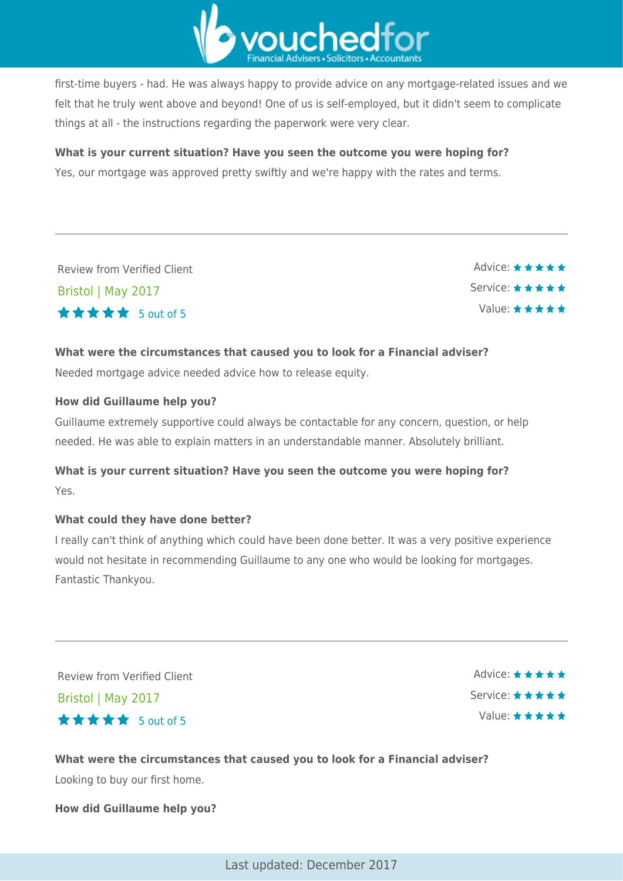

first-time buyers - had. He was always happy to provide advice on any mortgage-related issues and we felt that he truly went above and beyond! One of us is self-employed, but it didn't seem to complicate things at all - the instructions regarding the paperwork were very clear.

#### **What is your current situation? Have you seen the outcome you were hoping for?**

Yes, our mortgage was approved pretty swiftly and we're happy with the rates and terms.

Review from Verified Client Bristol | May 2017  $\star \star \star \star$  5 out of 5

Advice: ★★★★★ Service: ★ ★ ★ ★ ★ Value: \* \* \* \* \*

#### **What were the circumstances that caused you to look for a Financial adviser?**

Needed mortgage advice needed advice how to release equity.

#### **How did Guillaume help you?**

Guillaume extremely supportive could always be contactable for any concern, question, or help needed. He was able to explain matters in an understandable manner. Absolutely brilliant.

## **What is your current situation? Have you seen the outcome you were hoping for?** Yes.

#### **What could they have done better?**

I really can't think of anything which could have been done better. It was a very positive experience would not hesitate in recommending Guillaume to any one who would be looking for mortgages. Fantastic Thankyou.

Review from Verified Client Bristol | May 2017 5 out of 5

Advice: ★★★★★ Service: \* \* \* \* \* Value: \* \* \* \* \*

**What were the circumstances that caused you to look for a Financial adviser?** Looking to buy our first home.

**How did Guillaume help you?**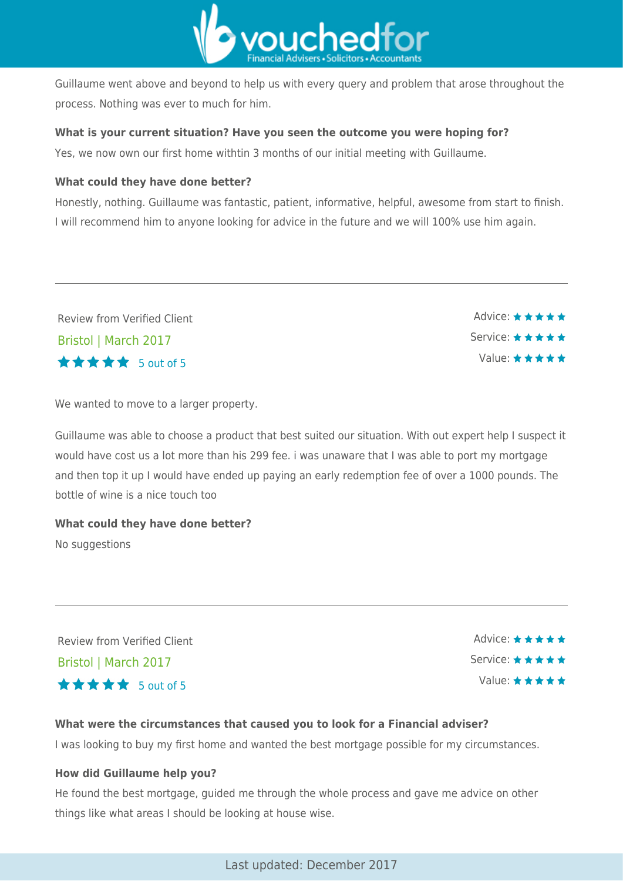

Guillaume went above and beyond to help us with every query and problem that arose throughout the process. Nothing was ever to much for him.

#### **What is your current situation? Have you seen the outcome you were hoping for?**

Yes, we now own our first home withtin 3 months of our initial meeting with Guillaume.

#### **What could they have done better?**

Honestly, nothing. Guillaume was fantastic, patient, informative, helpful, awesome from start to finish. I will recommend him to anyone looking for advice in the future and we will 100% use him again.

Review from Verified Client Bristol | March 2017 5 out of 5

We wanted to move to a larger property.

Guillaume was able to choose a product that best suited our situation. With out expert help I suspect it would have cost us a lot more than his 299 fee. i was unaware that I was able to port my mortgage and then top it up I would have ended up paying an early redemption fee of over a 1000 pounds. The bottle of wine is a nice touch too

# **What could they have done better?**

No suggestions

Review from Verified Client Bristol | March 2017  $\star \star \star \star$  5 out of 5

Advice: ★★★★★ Service: \* \* \* \* \* Value: ★★★★★

Advice: \*\*\*\*\*

Service: \* \* \* \* \*

Value: ★★★★★

#### **What were the circumstances that caused you to look for a Financial adviser?**

I was looking to buy my first home and wanted the best mortgage possible for my circumstances.

#### **How did Guillaume help you?**

He found the best mortgage, guided me through the whole process and gave me advice on other things like what areas I should be looking at house wise.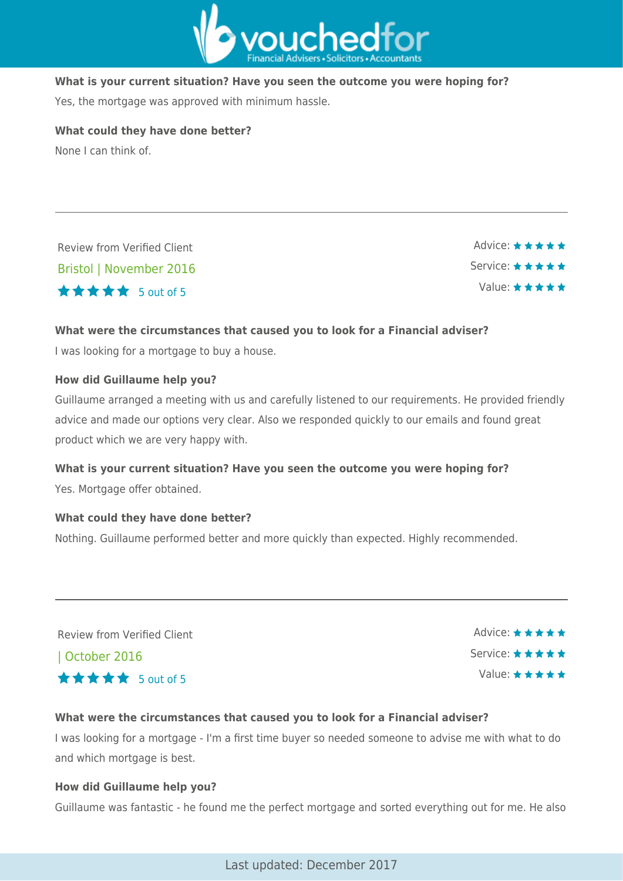

#### **What is your current situation? Have you seen the outcome you were hoping for?**

Yes, the mortgage was approved with minimum hassle.

**What could they have done better?**

None I can think of.

Review from Verified Client Bristol | November 2016 5 out of 5

Advice: ★★★★★ Service: ★★★★★ Value:  $\star \star \star \star \star$ 

#### **What were the circumstances that caused you to look for a Financial adviser?**

I was looking for a mortgage to buy a house.

#### **How did Guillaume help you?**

Guillaume arranged a meeting with us and carefully listened to our requirements. He provided friendly advice and made our options very clear. Also we responded quickly to our emails and found great product which we are very happy with.

#### **What is your current situation? Have you seen the outcome you were hoping for?**

Yes. Mortgage offer obtained.

#### **What could they have done better?**

Nothing. Guillaume performed better and more quickly than expected. Highly recommended.

Review from Verified Client

| October 2016 5 out of 5

Advice: ★★★★★ Service: ★★★★★ Value:  $\star \star \star \star \star$ 

#### **What were the circumstances that caused you to look for a Financial adviser?**

I was looking for a mortgage - I'm a first time buyer so needed someone to advise me with what to do and which mortgage is best.

#### **How did Guillaume help you?**

Guillaume was fantastic - he found me the perfect mortgage and sorted everything out for me. He also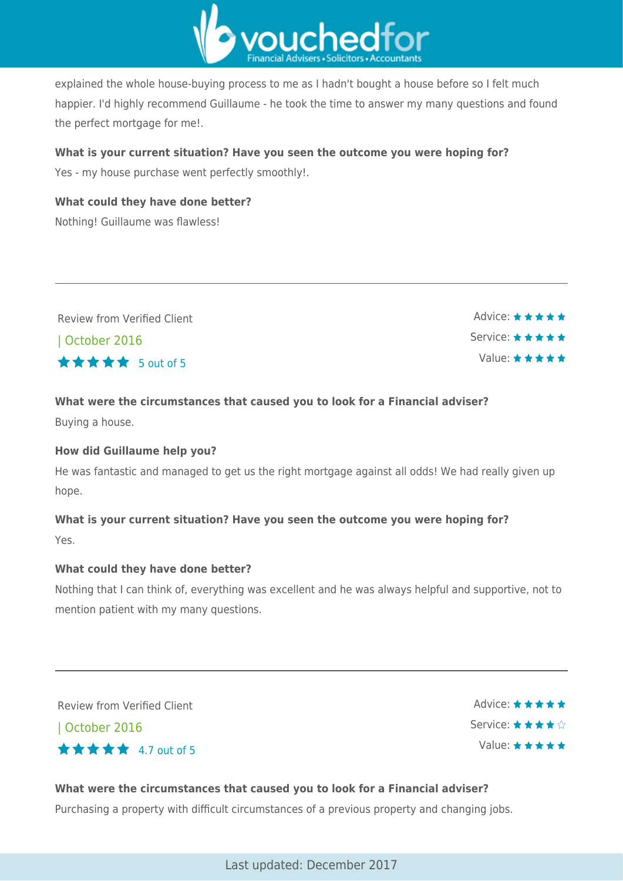

explained the whole house-buying process to me as I hadn't bought a house before so I felt much happier. I'd highly recommend Guillaume - he took the time to answer my many questions and found the perfect mortgage for me!.

#### **What is your current situation? Have you seen the outcome you were hoping for?**

Yes - my house purchase went perfectly smoothly!.

**What could they have done better?** Nothing! Guillaume was flawless!

| Review from Verified Client | Advice: $\star \star \star \star \star$ |
|-----------------------------|-----------------------------------------|
| October 2016                | Service: ★★★★★                          |
| ★★★★★ 5 out of 5            | Value: ★★★★★                            |
|                             |                                         |

#### **What were the circumstances that caused you to look for a Financial adviser?**

Buying a house.

#### **How did Guillaume help you?**

He was fantastic and managed to get us the right mortgage against all odds! We had really given up hope.

### **What is your current situation? Have you seen the outcome you were hoping for?** Yes.

#### **What could they have done better?**

Nothing that I can think of, everything was excellent and he was always helpful and supportive, not to mention patient with my many questions.

Review from Verified Client

| October 2016



Advice: ★★★★★ Service: ★★★★☆ Value: ★★★★★

#### **What were the circumstances that caused you to look for a Financial adviser?**

Purchasing a property with difficult circumstances of a previous property and changing jobs.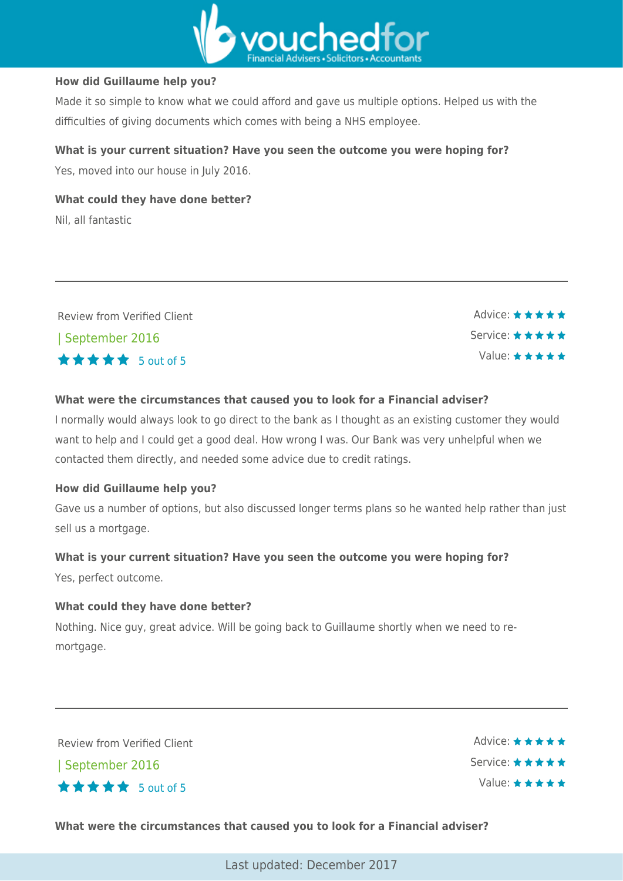

#### **How did Guillaume help you?**

Made it so simple to know what we could afford and gave us multiple options. Helped us with the difficulties of giving documents which comes with being a NHS employee.

#### **What is your current situation? Have you seen the outcome you were hoping for?**

Yes, moved into our house in July 2016.

**What could they have done better?** Nil, all fantastic

| Review from Verified Client | Advice: $\star \star \star \star \star$  |
|-----------------------------|------------------------------------------|
| September 2016              | Service: $\star \star \star \star \star$ |
| <b>★★★★★</b> 5 out of 5     | Value: $\star \star \star \star \star$   |

#### **What were the circumstances that caused you to look for a Financial adviser?**

I normally would always look to go direct to the bank as I thought as an existing customer they would want to help and I could get a good deal. How wrong I was. Our Bank was very unhelpful when we contacted them directly, and needed some advice due to credit ratings.

#### **How did Guillaume help you?**

Gave us a number of options, but also discussed longer terms plans so he wanted help rather than just sell us a mortgage.

# **What is your current situation? Have you seen the outcome you were hoping for?**

Yes, perfect outcome.

#### **What could they have done better?**

Nothing. Nice guy, great advice. Will be going back to Guillaume shortly when we need to remortgage.

Review from Verified Client

| September 2016



Advice: \* \* \* \* \* Service: \* \* \* \* \* Value: \* \* \* \* \*

#### **What were the circumstances that caused you to look for a Financial adviser?**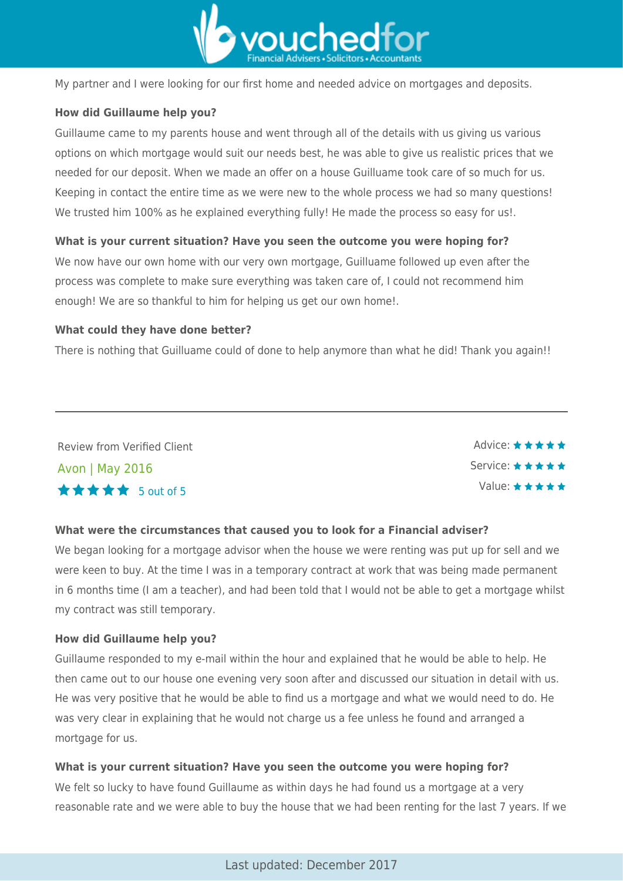

My partner and I were looking for our first home and needed advice on mortgages and deposits.

#### **How did Guillaume help you?**

Guillaume came to my parents house and went through all of the details with us giving us various options on which mortgage would suit our needs best, he was able to give us realistic prices that we needed for our deposit. When we made an offer on a house Guilluame took care of so much for us. Keeping in contact the entire time as we were new to the whole process we had so many questions! We trusted him 100% as he explained everything fully! He made the process so easy for us!.

#### **What is your current situation? Have you seen the outcome you were hoping for?**

We now have our own home with our very own mortgage, Guilluame followed up even after the process was complete to make sure everything was taken care of, I could not recommend him enough! We are so thankful to him for helping us get our own home!.

#### **What could they have done better?**

There is nothing that Guilluame could of done to help anymore than what he did! Thank you again!!

Review from Verified Client Avon | May 2016 5 out of 5

Advice: ★★★★★ Service: \* \* \* \* \* Value: \* \* \* \* \*

#### **What were the circumstances that caused you to look for a Financial adviser?**

We began looking for a mortgage advisor when the house we were renting was put up for sell and we were keen to buy. At the time I was in a temporary contract at work that was being made permanent in 6 months time (I am a teacher), and had been told that I would not be able to get a mortgage whilst my contract was still temporary.

#### **How did Guillaume help you?**

Guillaume responded to my e-mail within the hour and explained that he would be able to help. He then came out to our house one evening very soon after and discussed our situation in detail with us. He was very positive that he would be able to find us a mortgage and what we would need to do. He was very clear in explaining that he would not charge us a fee unless he found and arranged a mortgage for us.

#### **What is your current situation? Have you seen the outcome you were hoping for?**

We felt so lucky to have found Guillaume as within days he had found us a mortgage at a very reasonable rate and we were able to buy the house that we had been renting for the last 7 years. If we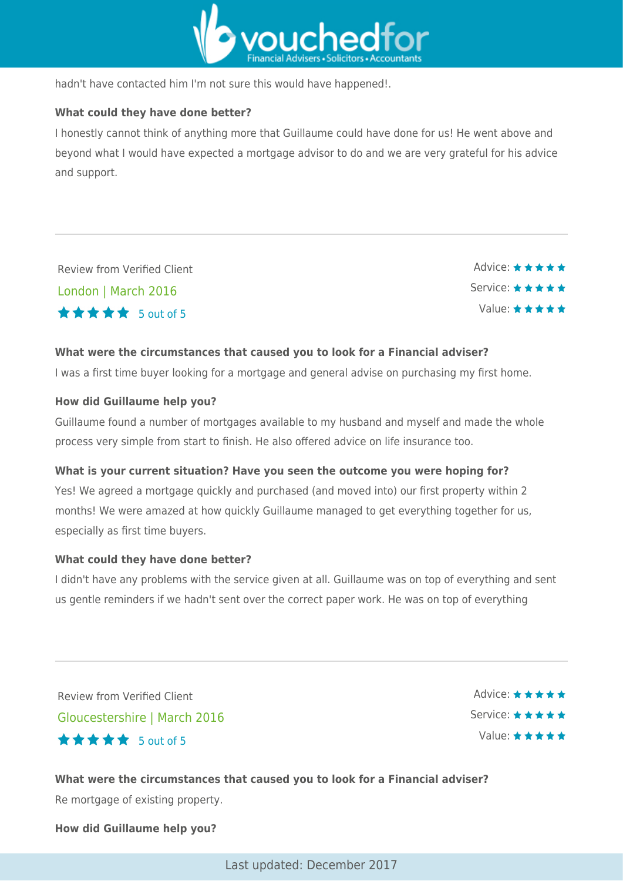

hadn't have contacted him I'm not sure this would have happened!.

#### **What could they have done better?**

I honestly cannot think of anything more that Guillaume could have done for us! He went above and beyond what I would have expected a mortgage advisor to do and we are very grateful for his advice and support.

Review from Verified Client London | March 2016  $\star \star \star \star$  5 out of 5

Advice: ★★★★★ Service: ★ ★ ★ ★ ★ Value:  $\star \star \star \star \star$ 

#### **What were the circumstances that caused you to look for a Financial adviser?**

I was a first time buyer looking for a mortgage and general advise on purchasing my first home.

#### **How did Guillaume help you?**

Guillaume found a number of mortgages available to my husband and myself and made the whole process very simple from start to finish. He also offered advice on life insurance too.

#### **What is your current situation? Have you seen the outcome you were hoping for?**

Yes! We agreed a mortgage quickly and purchased (and moved into) our first property within 2 months! We were amazed at how quickly Guillaume managed to get everything together for us, especially as first time buyers.

#### **What could they have done better?**

I didn't have any problems with the service given at all. Guillaume was on top of everything and sent us gentle reminders if we hadn't sent over the correct paper work. He was on top of everything

Review from Verified Client Gloucestershire | March 2016 5 out of 5

Advice: \* \* \* \* \* Service: \* \* \* \* \* Value:  $\star \star \star \star \star$ 

**What were the circumstances that caused you to look for a Financial adviser?** Re mortgage of existing property.

**How did Guillaume help you?**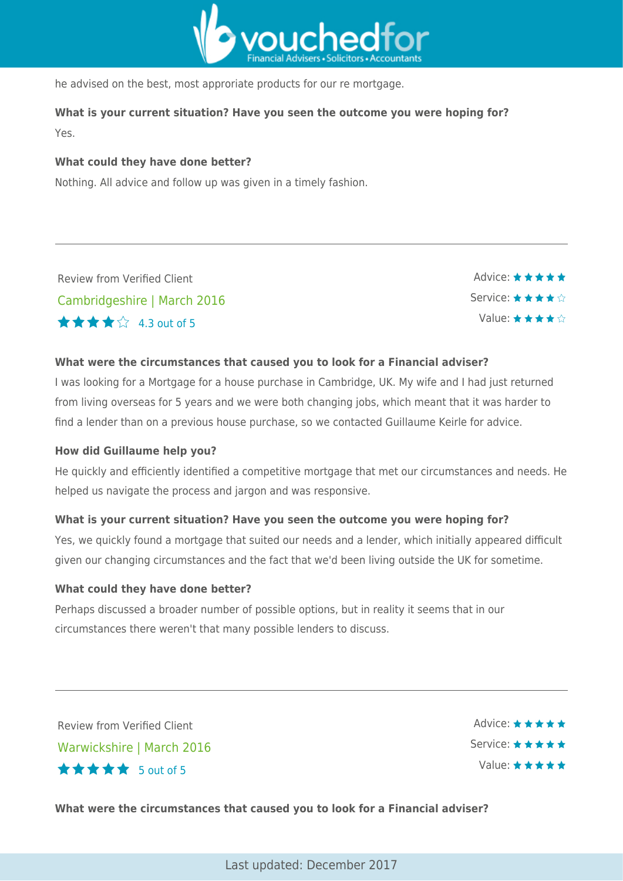

he advised on the best, most approriate products for our re mortgage.

**What is your current situation? Have you seen the outcome you were hoping for?** Yes.

#### **What could they have done better?**

Nothing. All advice and follow up was given in a timely fashion.

Review from Verified Client Cambridgeshire | March 2016 4.3 out of 5



#### **What were the circumstances that caused you to look for a Financial adviser?**

I was looking for a Mortgage for a house purchase in Cambridge, UK. My wife and I had just returned from living overseas for 5 years and we were both changing jobs, which meant that it was harder to find a lender than on a previous house purchase, so we contacted Guillaume Keirle for advice.

#### **How did Guillaume help you?**

He quickly and efficiently identified a competitive mortgage that met our circumstances and needs. He helped us navigate the process and jargon and was responsive.

#### **What is your current situation? Have you seen the outcome you were hoping for?**

Yes, we quickly found a mortgage that suited our needs and a lender, which initially appeared difficult given our changing circumstances and the fact that we'd been living outside the UK for sometime.

#### **What could they have done better?**

Perhaps discussed a broader number of possible options, but in reality it seems that in our circumstances there weren't that many possible lenders to discuss.

Review from Verified Client Warwickshire | March 2016  $\star \star \star \star$  5 out of 5

Advice:  $\star \star \star \star \star$ Service: ★★★★★ Value:

**What were the circumstances that caused you to look for a Financial adviser?**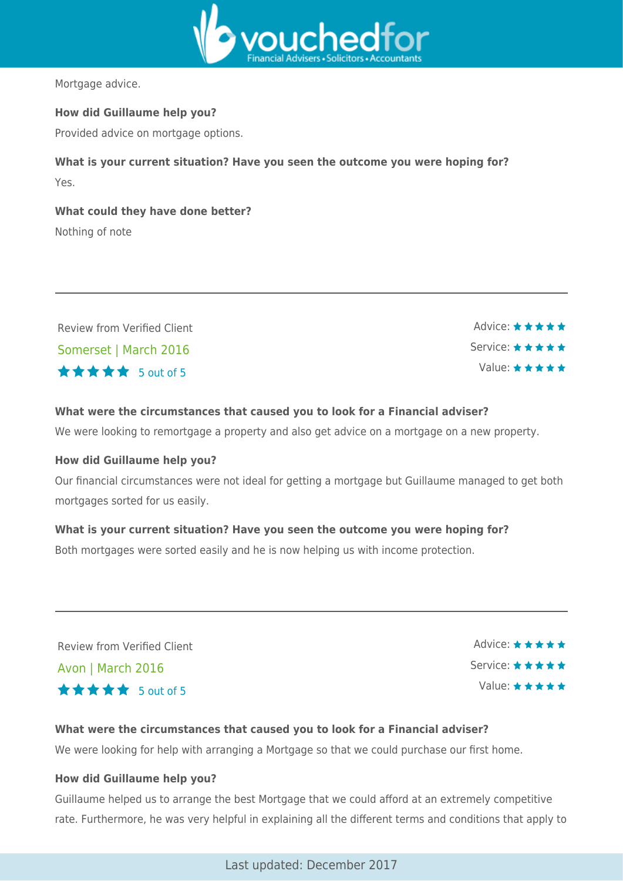

Mortgage advice.

#### **How did Guillaume help you?**

Provided advice on mortgage options.

**What is your current situation? Have you seen the outcome you were hoping for?** Yes.

**What could they have done better?** Nothing of note

Review from Verified Client Somerset | March 2016  $\star \star \star \star$  5 out of 5

Advice: ★★★★★ Service: ★ ★ ★ ★ ★ Value:  $\star \star \star \star \star$ 

#### **What were the circumstances that caused you to look for a Financial adviser?**

We were looking to remortgage a property and also get advice on a mortgage on a new property.

#### **How did Guillaume help you?**

Our financial circumstances were not ideal for getting a mortgage but Guillaume managed to get both mortgages sorted for us easily.

#### **What is your current situation? Have you seen the outcome you were hoping for?**

Both mortgages were sorted easily and he is now helping us with income protection.

Review from Verified Client

Avon | March 2016 5 out of 5

Advice: ★★★★★ Service: ★★★★★ Value: \* \* \* \* \*

#### **What were the circumstances that caused you to look for a Financial adviser?**

We were looking for help with arranging a Mortgage so that we could purchase our first home.

#### **How did Guillaume help you?**

Guillaume helped us to arrange the best Mortgage that we could afford at an extremely competitive rate. Furthermore, he was very helpful in explaining all the different terms and conditions that apply to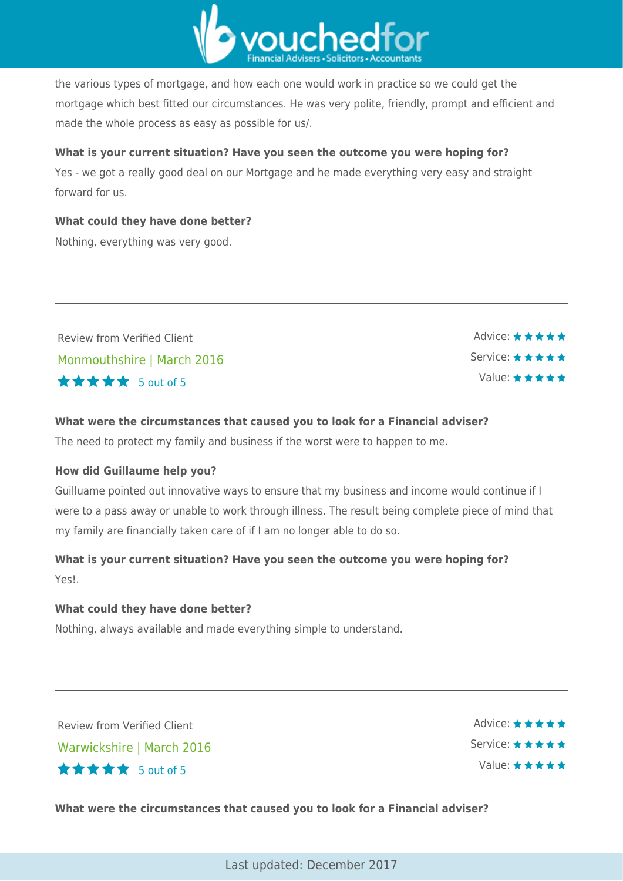

the various types of mortgage, and how each one would work in practice so we could get the mortgage which best fitted our circumstances. He was very polite, friendly, prompt and efficient and made the whole process as easy as possible for us/.

**What is your current situation? Have you seen the outcome you were hoping for?** Yes - we got a really good deal on our Mortgage and he made everything very easy and straight forward for us.

## **What could they have done better?**

Nothing, everything was very good.

Review from Verified Client Monmouthshire | March 2016  $\star \star \star \star$  5 out of 5

Advice: ★★★★★ Service: ★★★★★ Value: ★★★★★

#### **What were the circumstances that caused you to look for a Financial adviser?**

The need to protect my family and business if the worst were to happen to me.

#### **How did Guillaume help you?**

Guilluame pointed out innovative ways to ensure that my business and income would continue if I were to a pass away or unable to work through illness. The result being complete piece of mind that my family are financially taken care of if I am no longer able to do so.

# **What is your current situation? Have you seen the outcome you were hoping for?** Yes!.

#### **What could they have done better?**

Nothing, always available and made everything simple to understand.

Review from Verified Client Warwickshire | March 2016  $\star \star \star \star$  5 out of 5

Advice:  $\star \star \star \star \star$ Service: \* \* \* \* \* Value: \* \* \* \* \*

**What were the circumstances that caused you to look for a Financial adviser?**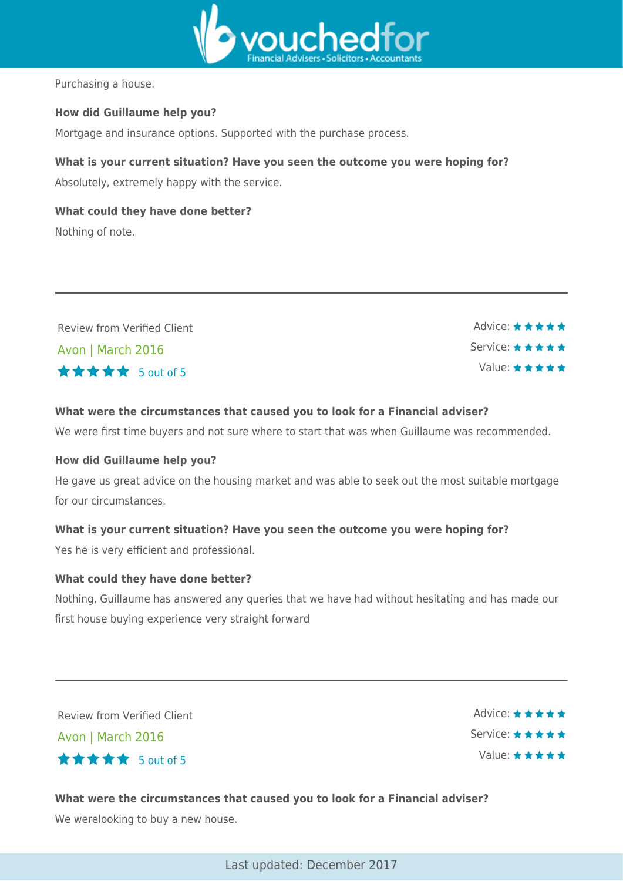

Purchasing a house.

#### **How did Guillaume help you?**

Mortgage and insurance options. Supported with the purchase process.

#### **What is your current situation? Have you seen the outcome you were hoping for?**

Absolutely, extremely happy with the service.

**What could they have done better?** Nothing of note.

| Review from Verified Client | Advice: $\star \star \star \star \star$ |
|-----------------------------|-----------------------------------------|
| Avon   March 2016           | Service: ★★★★★                          |
| <b>★★★★★</b> 5 out of 5     | Value: $\star \star \star \star \star$  |
|                             |                                         |

#### **What were the circumstances that caused you to look for a Financial adviser?**

We were first time buyers and not sure where to start that was when Guillaume was recommended.

#### **How did Guillaume help you?**

He gave us great advice on the housing market and was able to seek out the most suitable mortgage for our circumstances.

#### **What is your current situation? Have you seen the outcome you were hoping for?**

Yes he is very efficient and professional.

#### **What could they have done better?**

Nothing, Guillaume has answered any queries that we have had without hesitating and has made our first house buying experience very straight forward

Review from Verified Client

Avon | March 2016  $\star \star \star \star$  5 out of 5

Advice: ★★★★★ Service: ★★★★★ Value:  $\star \star \star \star \star$ 

**What were the circumstances that caused you to look for a Financial adviser?** We werelooking to buy a new house.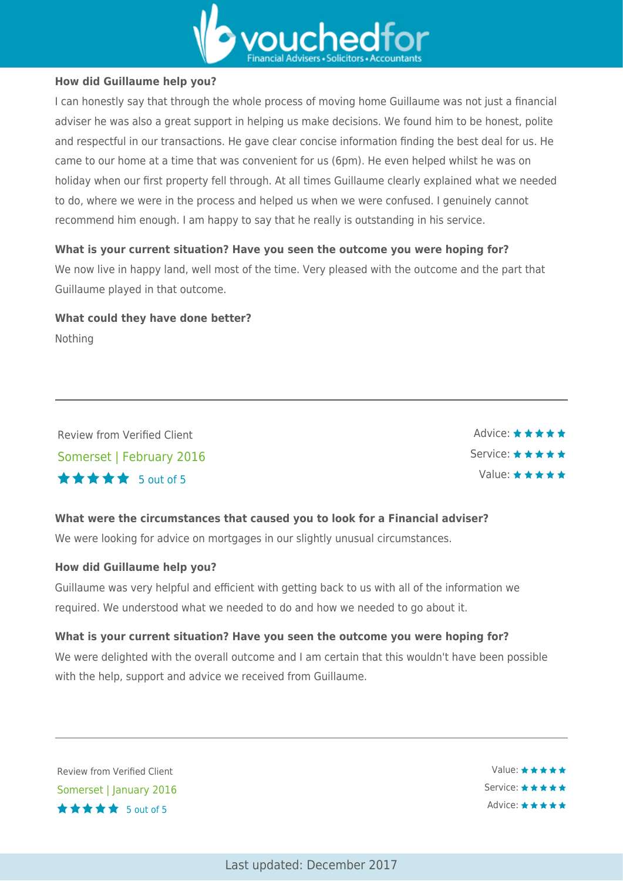

#### **How did Guillaume help you?**

I can honestly say that through the whole process of moving home Guillaume was not just a financial adviser he was also a great support in helping us make decisions. We found him to be honest, polite and respectful in our transactions. He gave clear concise information finding the best deal for us. He came to our home at a time that was convenient for us (6pm). He even helped whilst he was on holiday when our first property fell through. At all times Guillaume clearly explained what we needed to do, where we were in the process and helped us when we were confused. I genuinely cannot recommend him enough. I am happy to say that he really is outstanding in his service.

#### **What is your current situation? Have you seen the outcome you were hoping for?**

We now live in happy land, well most of the time. Very pleased with the outcome and the part that Guillaume played in that outcome.

**What could they have done better?** Nothing

Review from Verified Client Somerset | February 2016 5 out of 5



# **What were the circumstances that caused you to look for a Financial adviser?**

We were looking for advice on mortgages in our slightly unusual circumstances.

#### **How did Guillaume help you?**

Guillaume was very helpful and efficient with getting back to us with all of the information we required. We understood what we needed to do and how we needed to go about it.

#### **What is your current situation? Have you seen the outcome you were hoping for?**

We were delighted with the overall outcome and I am certain that this wouldn't have been possible with the help, support and advice we received from Guillaume.

Review from Verified Client Somerset | January 2016  $\star \star \star \star$  5 out of 5

Value: ★★★★★ Service: \* \* \* \* \* Advice: ★★★★★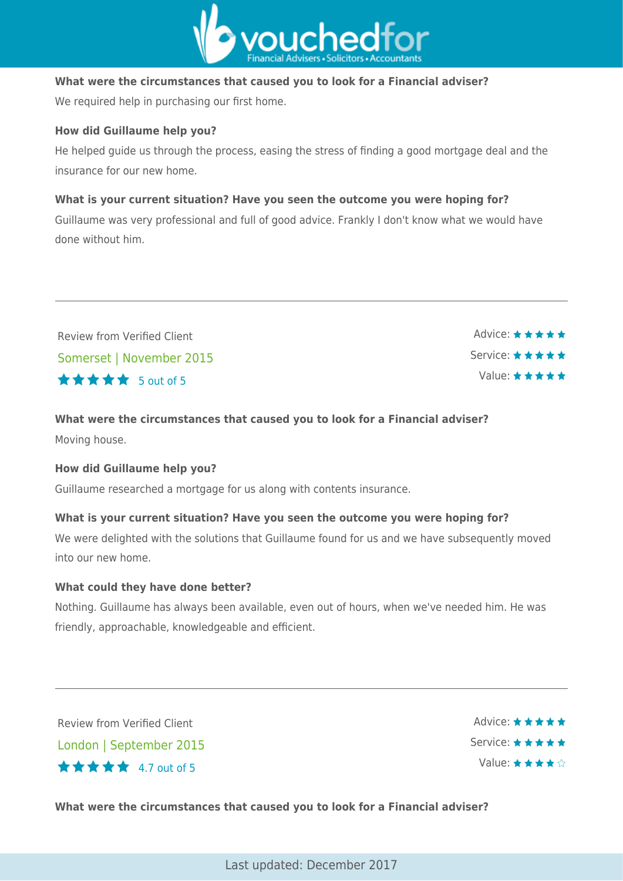

#### **What were the circumstances that caused you to look for a Financial adviser?**

We required help in purchasing our first home.

#### **How did Guillaume help you?**

He helped guide us through the process, easing the stress of finding a good mortgage deal and the insurance for our new home.

#### **What is your current situation? Have you seen the outcome you were hoping for?**

Guillaume was very professional and full of good advice. Frankly I don't know what we would have done without him.

| <b>Review from Verified Client</b> | $\overrightarrow{A}$ dvice: $\star \star \star \star \star$ |
|------------------------------------|-------------------------------------------------------------|
| Somerset   November 2015           | Service: $\star \star \star \star \star$                    |
| <b>★★★★★</b> 5 out of 5            | Value: $\star \star \star \star \star$                      |

# **What were the circumstances that caused you to look for a Financial adviser?** Moving house.

#### **How did Guillaume help you?**

Guillaume researched a mortgage for us along with contents insurance.

#### **What is your current situation? Have you seen the outcome you were hoping for?**

We were delighted with the solutions that Guillaume found for us and we have subsequently moved into our new home.

#### **What could they have done better?**

Nothing. Guillaume has always been available, even out of hours, when we've needed him. He was friendly, approachable, knowledgeable and efficient.

Review from Verified Client London | September 2015 4.7 out of 5

Advice: ★★★★★ Service: ★★★★★ Value: ★★★★☆

**What were the circumstances that caused you to look for a Financial adviser?**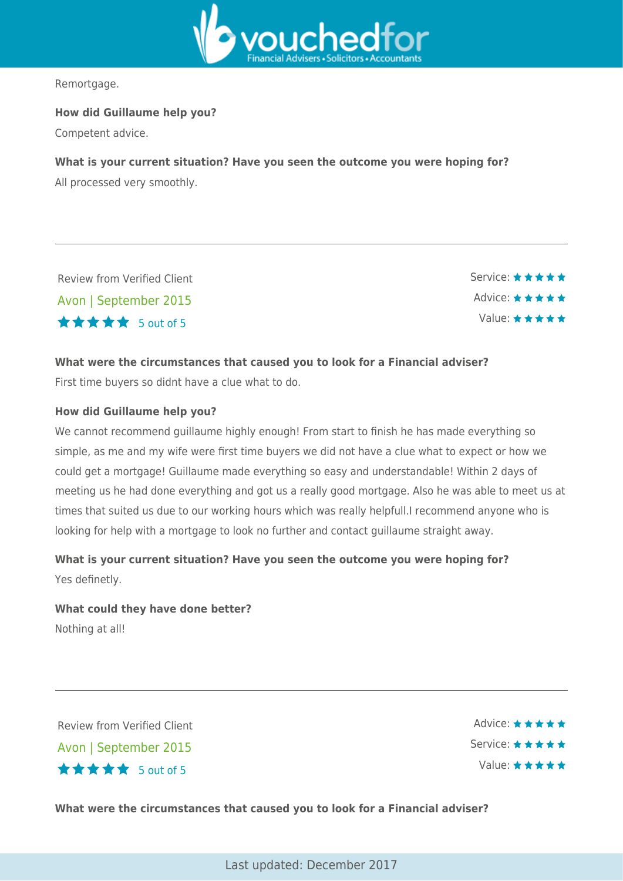

Remortgage.

**How did Guillaume help you?**

Competent advice.

#### **What is your current situation? Have you seen the outcome you were hoping for?**

All processed very smoothly.

Review from Verified Client Avon | September 2015  $\star \star \star \star$  5 out of 5

Service: \* \* \* \* \* Advice: \* \* \* \* \* Value: \* \* \* \* \*

#### **What were the circumstances that caused you to look for a Financial adviser?**

First time buyers so didnt have a clue what to do.

#### **How did Guillaume help you?**

We cannot recommend guillaume highly enough! From start to finish he has made everything so simple, as me and my wife were first time buyers we did not have a clue what to expect or how we could get a mortgage! Guillaume made everything so easy and understandable! Within 2 days of meeting us he had done everything and got us a really good mortgage. Also he was able to meet us at times that suited us due to our working hours which was really helpfull.I recommend anyone who is looking for help with a mortgage to look no further and contact guillaume straight away.

**What is your current situation? Have you seen the outcome you were hoping for?** Yes definetly.

# **What could they have done better?** Nothing at all!

Review from Verified Client Avon | September 2015  $\star \star \star \star$  5 out of 5

Advice: ★★★★★ Service: \* \* \* \* \* Value: \* \* \* \* \*

**What were the circumstances that caused you to look for a Financial adviser?**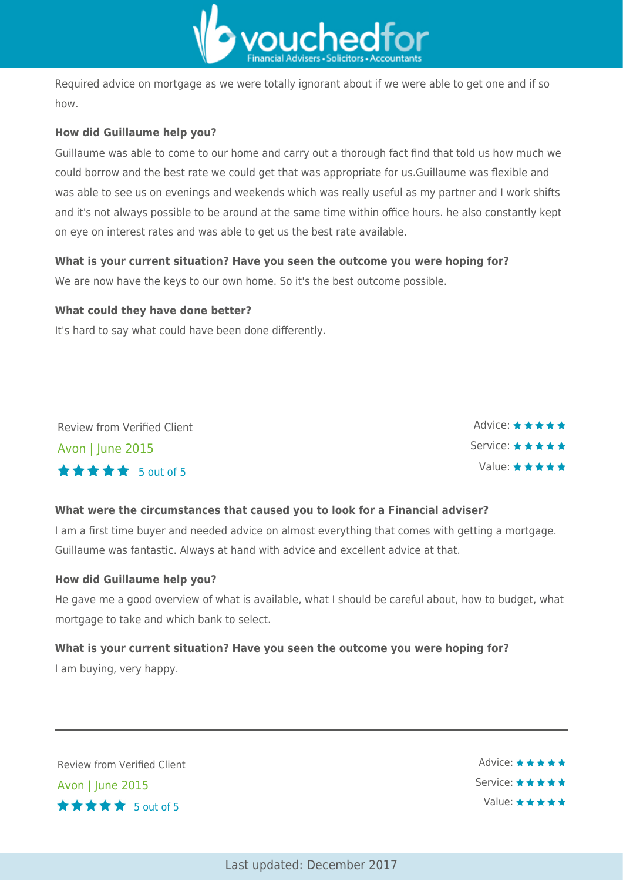

Required advice on mortgage as we were totally ignorant about if we were able to get one and if so how.

#### **How did Guillaume help you?**

Guillaume was able to come to our home and carry out a thorough fact find that told us how much we could borrow and the best rate we could get that was appropriate for us.Guillaume was flexible and was able to see us on evenings and weekends which was really useful as my partner and I work shifts and it's not always possible to be around at the same time within office hours. he also constantly kept on eye on interest rates and was able to get us the best rate available.

#### **What is your current situation? Have you seen the outcome you were hoping for?**

We are now have the keys to our own home. So it's the best outcome possible.

#### **What could they have done better?**

It's hard to say what could have been done differently.

Review from Verified Client Avon | June 2015  $\star \star \star \star$  5 out of 5

Advice: ★★★★★ Service: \* \* \* \* \* Value:  $\star \star \star \star \star$ 

#### **What were the circumstances that caused you to look for a Financial adviser?**

I am a first time buyer and needed advice on almost everything that comes with getting a mortgage. Guillaume was fantastic. Always at hand with advice and excellent advice at that.

#### **How did Guillaume help you?**

He gave me a good overview of what is available, what I should be careful about, how to budget, what mortgage to take and which bank to select.

# **What is your current situation? Have you seen the outcome you were hoping for?** I am buying, very happy.

Review from Verified Client Avon | June 2015 5 out of 5

Advice: ★★★★★ Service: ★★★★★ Value: \* \* \* \* \*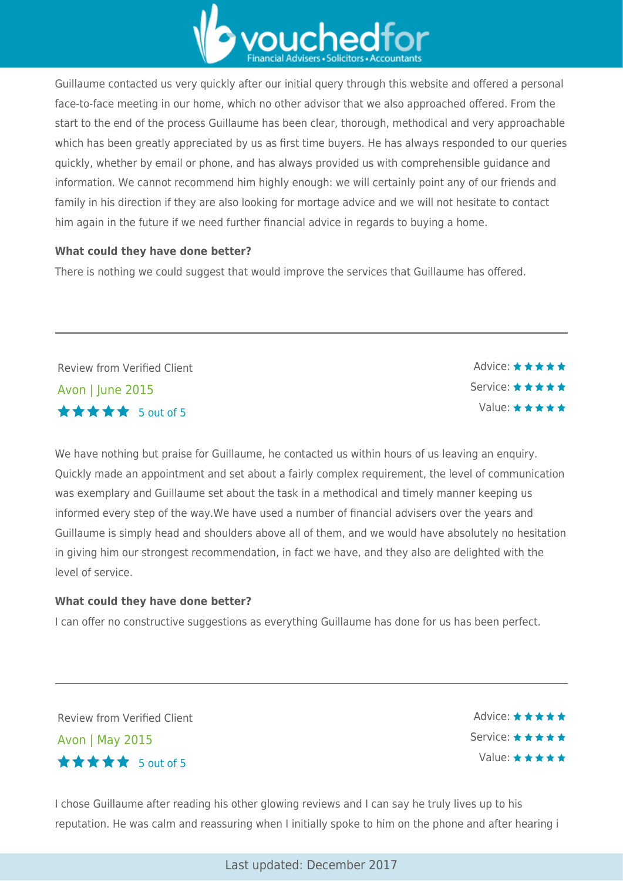

Guillaume contacted us very quickly after our initial query through this website and offered a personal face-to-face meeting in our home, which no other advisor that we also approached offered. From the start to the end of the process Guillaume has been clear, thorough, methodical and very approachable which has been greatly appreciated by us as first time buyers. He has always responded to our queries quickly, whether by email or phone, and has always provided us with comprehensible guidance and information. We cannot recommend him highly enough: we will certainly point any of our friends and family in his direction if they are also looking for mortage advice and we will not hesitate to contact him again in the future if we need further financial advice in regards to buying a home.

#### **What could they have done better?**

There is nothing we could suggest that would improve the services that Guillaume has offered.

Review from Verified Client Avon | June 2015 5 out of 5

Advice: ★★★★★ Service: \* \* \* \* \* Value: ★★★★★

We have nothing but praise for Guillaume, he contacted us within hours of us leaving an enquiry. Quickly made an appointment and set about a fairly complex requirement, the level of communication was exemplary and Guillaume set about the task in a methodical and timely manner keeping us informed every step of the way.We have used a number of financial advisers over the years and Guillaume is simply head and shoulders above all of them, and we would have absolutely no hesitation in giving him our strongest recommendation, in fact we have, and they also are delighted with the level of service.

#### **What could they have done better?**

I can offer no constructive suggestions as everything Guillaume has done for us has been perfect.

Review from Verified Client Avon | May 2015 5 out of 5

Advice:  $\star \star \star \star \star$ Service: ★ ★ ★ ★ ★ Value: \* \* \* \* \*

I chose Guillaume after reading his other glowing reviews and I can say he truly lives up to his reputation. He was calm and reassuring when I initially spoke to him on the phone and after hearing i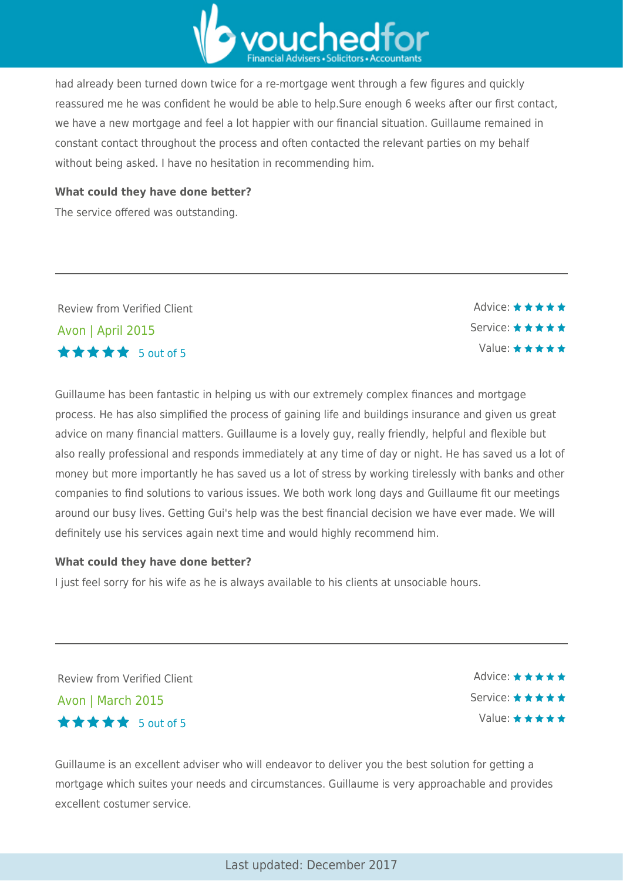

had already been turned down twice for a re-mortgage went through a few figures and quickly reassured me he was confident he would be able to help.Sure enough 6 weeks after our first contact, we have a new mortgage and feel a lot happier with our financial situation. Guillaume remained in constant contact throughout the process and often contacted the relevant parties on my behalf without being asked. I have no hesitation in recommending him.

#### **What could they have done better?**

The service offered was outstanding.

Review from Verified Client Avon | April 2015 5 out of 5

Guillaume has been fantastic in helping us with our extremely complex finances and mortgage process. He has also simplified the process of gaining life and buildings insurance and given us great advice on many financial matters. Guillaume is a lovely guy, really friendly, helpful and flexible but also really professional and responds immediately at any time of day or night. He has saved us a lot of money but more importantly he has saved us a lot of stress by working tirelessly with banks and other companies to find solutions to various issues. We both work long days and Guillaume fit our meetings around our busy lives. Getting Gui's help was the best financial decision we have ever made. We will definitely use his services again next time and would highly recommend him.

#### **What could they have done better?**

I just feel sorry for his wife as he is always available to his clients at unsociable hours.

Review from Verified Client Avon | March 2015  $\star \star \star \star$  5 out of 5

Advice: ★★★★★ Service: \* \* \* \* \* Value: ★★★★★

Advice:  $\star \star \star \star \star$ Service: \* \* \* \* \*

Value:  $\star \star \star \star \star$ 

Guillaume is an excellent adviser who will endeavor to deliver you the best solution for getting a mortgage which suites your needs and circumstances. Guillaume is very approachable and provides excellent costumer service.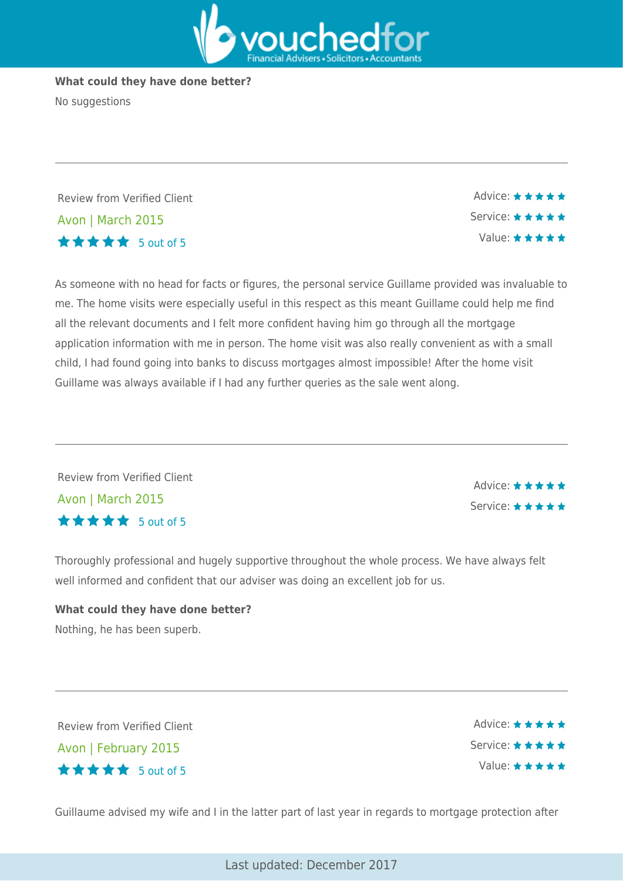

#### **What could they have done better?**

No suggestions

Review from Verified Client Avon | March 2015  $\star \star \star \star$  5 out of 5

As someone with no head for facts or figures, the personal service Guillame provided was invaluable to me. The home visits were especially useful in this respect as this meant Guillame could help me find all the relevant documents and I felt more confident having him go through all the mortgage application information with me in person. The home visit was also really convenient as with a small child, I had found going into banks to discuss mortgages almost impossible! After the home visit Guillame was always available if I had any further queries as the sale went along.

Review from Verified Client Avon | March 2015  $\star \star \star \star$  5 out of 5

Advice: \* \* \* \* \* Service: \* \* \* \* \*

Advice:  $\star \star \star \star \star$ Service: ★★★★★

Value: \* \* \* \* \*

Thoroughly professional and hugely supportive throughout the whole process. We have always felt well informed and confident that our adviser was doing an excellent job for us.

# **What could they have done better?** Nothing, he has been superb.

Review from Verified Client Avon | February 2015  $\star \star \star \star$  5 out of 5

Advice: ★★★★★ Service: \* \* \* \* \* Value:  $\star \star \star \star \star$ 

Guillaume advised my wife and I in the latter part of last year in regards to mortgage protection after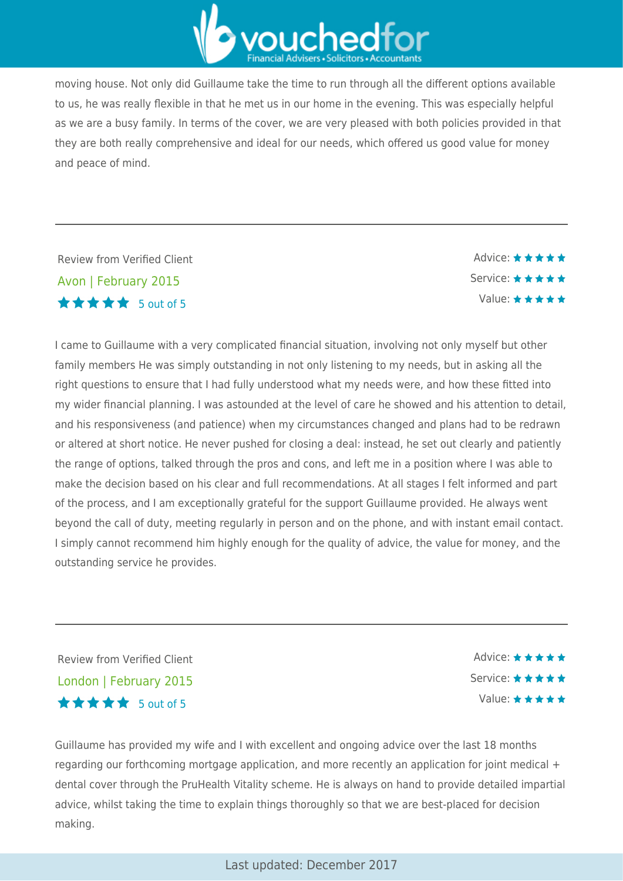

moving house. Not only did Guillaume take the time to run through all the different options available to us, he was really flexible in that he met us in our home in the evening. This was especially helpful as we are a busy family. In terms of the cover, we are very pleased with both policies provided in that they are both really comprehensive and ideal for our needs, which offered us good value for money and peace of mind.

Review from Verified Client Avon | February 2015  $\star \star \star \star$  5 out of 5

Advice: ★★★★★ Service: ★★★★★ Value: ★★★★★

I came to Guillaume with a very complicated financial situation, involving not only myself but other family members He was simply outstanding in not only listening to my needs, but in asking all the right questions to ensure that I had fully understood what my needs were, and how these fitted into my wider financial planning. I was astounded at the level of care he showed and his attention to detail, and his responsiveness (and patience) when my circumstances changed and plans had to be redrawn or altered at short notice. He never pushed for closing a deal: instead, he set out clearly and patiently the range of options, talked through the pros and cons, and left me in a position where I was able to make the decision based on his clear and full recommendations. At all stages I felt informed and part of the process, and I am exceptionally grateful for the support Guillaume provided. He always went beyond the call of duty, meeting regularly in person and on the phone, and with instant email contact. I simply cannot recommend him highly enough for the quality of advice, the value for money, and the outstanding service he provides.

Review from Verified Client London | February 2015  $\star \star \star \star$  5 out of 5

Advice: ★★★★★ Service: \* \* \* \* \* Value:  $\star \star \star \star \star$ 

Guillaume has provided my wife and I with excellent and ongoing advice over the last 18 months regarding our forthcoming mortgage application, and more recently an application for joint medical + dental cover through the PruHealth Vitality scheme. He is always on hand to provide detailed impartial advice, whilst taking the time to explain things thoroughly so that we are best-placed for decision making.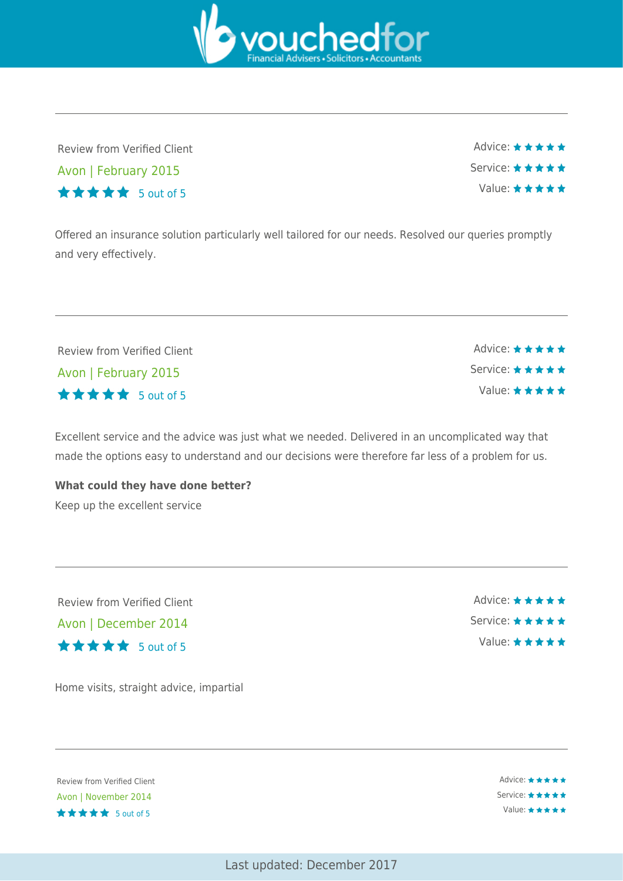vouchedfr

Review from Verified Client Avon | February 2015 5 out of 5

Advice:  $\star \star \star \star \star$ Service: \* \* \* \* \* Value:  $\star \star \star \star \star$ 

Offered an insurance solution particularly well tailored for our needs. Resolved our queries promptly and very effectively.

Review from Verified Client Avon | February 2015  $\star \star \star \star$  5 out of 5

Excellent service and the advice was just what we needed. Delivered in an uncomplicated way that made the options easy to understand and our decisions were therefore far less of a problem for us.

**What could they have done better?** Keep up the excellent service

Review from Verified Client Avon | December 2014 5 out of 5

Home visits, straight advice, impartial

Review from Verified Client . Avon | November 2014 \*\*\*\*\* 5 out of 5

Advice: ★★★★★ Service: ★★★★★ Value: ★★★★★



Advice:  $\star \star \star \star \star$ Service: \* \* \* \* \* Value: \* \* \* \* \*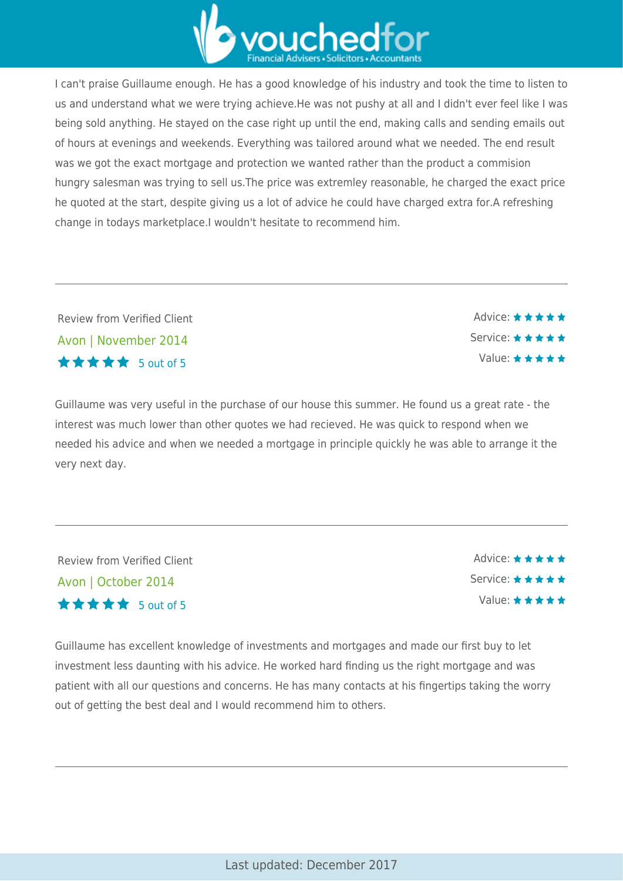

I can't praise Guillaume enough. He has a good knowledge of his industry and took the time to listen to us and understand what we were trying achieve.He was not pushy at all and I didn't ever feel like I was being sold anything. He stayed on the case right up until the end, making calls and sending emails out of hours at evenings and weekends. Everything was tailored around what we needed. The end result was we got the exact mortgage and protection we wanted rather than the product a commision hungry salesman was trying to sell us.The price was extremley reasonable, he charged the exact price he quoted at the start, despite giving us a lot of advice he could have charged extra for.A refreshing change in todays marketplace.I wouldn't hesitate to recommend him.

Review from Verified Client Avon | November 2014 5 out of 5

Guillaume was very useful in the purchase of our house this summer. He found us a great rate - the interest was much lower than other quotes we had recieved. He was quick to respond when we needed his advice and when we needed a mortgage in principle quickly he was able to arrange it the very next day.

Review from Verified Client Avon | October 2014 5 out of 5

Advice: \* \* \* \* \* Service: \* \* \* \* \* Value:  $\star \star \star \star \star$ 

Advice: \* \* \* \* \*

Service: \* \* \* \* \* Value:  $\star \star \star \star \star$ 

Guillaume has excellent knowledge of investments and mortgages and made our first buy to let investment less daunting with his advice. He worked hard finding us the right mortgage and was patient with all our questions and concerns. He has many contacts at his fingertips taking the worry out of getting the best deal and I would recommend him to others.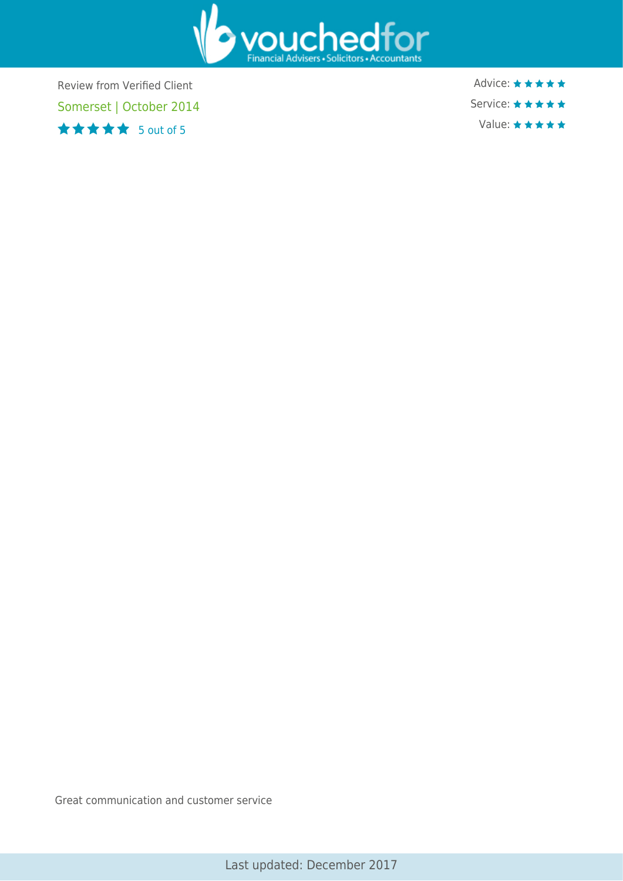

Review from Verified Client Somerset | October 2014 5 out of 5

Advice: ★★★★★ Service: ★★★★★ Value: ★★★★★

Great communication and customer service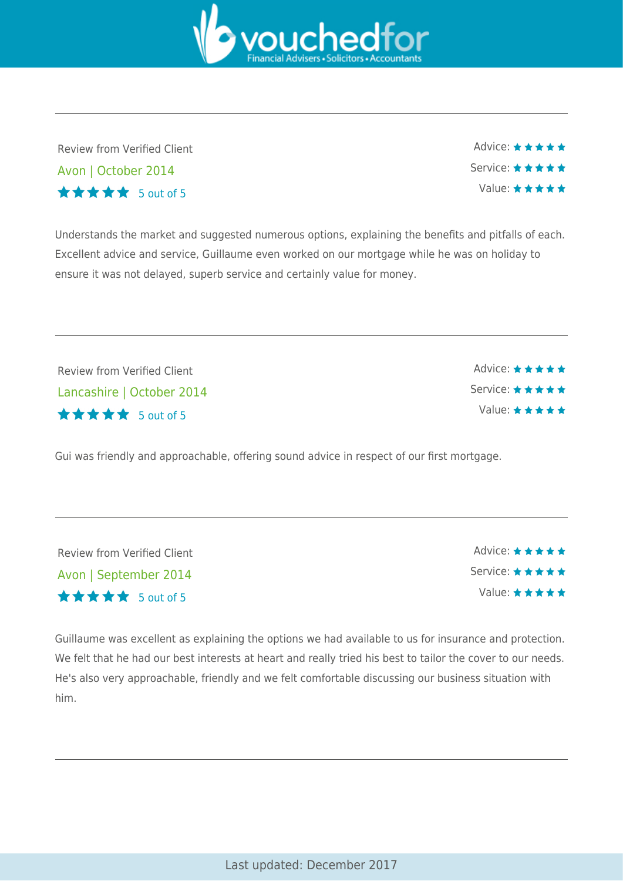Last updated: December 2017

Guillaume was excellent as explaining the options we had available to us for insurance and protection. We felt that he had our best interests at heart and really tried his best to tailor the cover to our needs. He's also very approachable, friendly and we felt comfortable discussing our business situation with him.

Lancashire | October 2014 5 out of 5

Gui was friendly and approachable, offering sound advice in respect of our first mortgage.

| Review from Verified Client |
|-----------------------------|
| Lancashire   October 2014   |
| <b>★★★★★</b> 5 out of 5     |

Review from Verified Client

Avon | September 2014

5 out of 5



Value:  $\star \star \star \star \star$ 

Advice:  $\star \star \star \star \star$ Service: \* \* \* \* \* Value:  $\star \star \star \star \star$ 



Excellent advice and service, Guillaume even worked on our mortgage while he was on holiday to

ensure it was not delayed, superb service and certainly value for money.

 $\star \star \star \star$  5 out of 5 Understands the market and suggested numerous options, explaining the benefits and pitfalls of each.

Review from Verified Client

Avon | October 2014

Advice:  $\star \star \star \star \star$ Service: ★★★★★ Value:  $\star \star \star \star \star$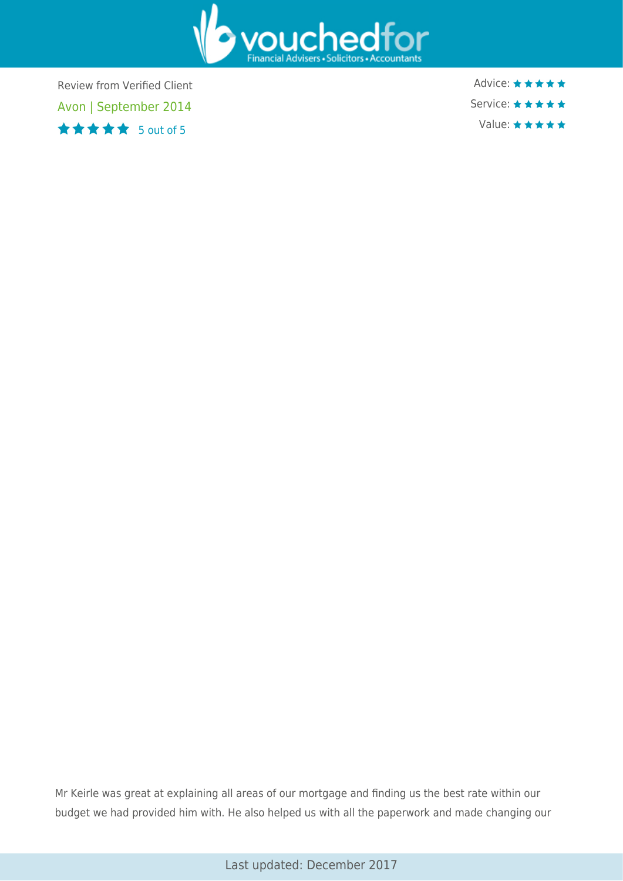

Review from Verified Client Avon | September 2014 5 out of 5

Advice: ★★★★★ Service: ★★★★★ Value: ★★★★★

Mr Keirle was great at explaining all areas of our mortgage and finding us the best rate within our budget we had provided him with. He also helped us with all the paperwork and made changing our